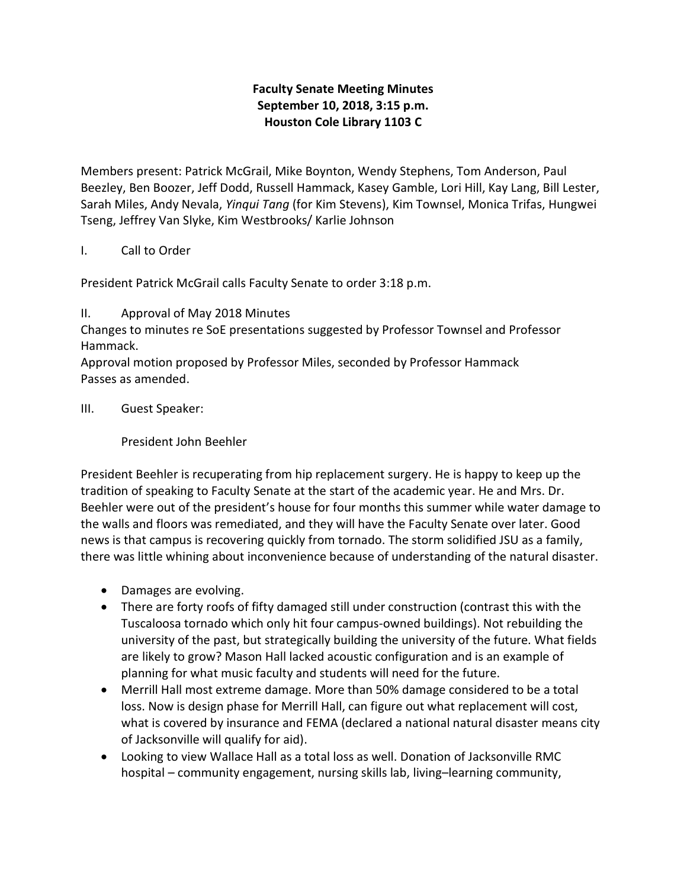# Faculty Senate Meeting Minutes September 10, 2018, 3:15 p.m. Houston Cole Library 1103 C

Members present: Patrick McGrail, Mike Boynton, Wendy Stephens, Tom Anderson, Paul Beezley, Ben Boozer, Jeff Dodd, Russell Hammack, Kasey Gamble, Lori Hill, Kay Lang, Bill Lester, Sarah Miles, Andy Nevala, Yinqui Tang (for Kim Stevens), Kim Townsel, Monica Trifas, Hungwei Tseng, Jeffrey Van Slyke, Kim Westbrooks/ Karlie Johnson

# I. Call to Order

President Patrick McGrail calls Faculty Senate to order 3:18 p.m.

II. Approval of May 2018 Minutes

Changes to minutes re SoE presentations suggested by Professor Townsel and Professor Hammack.

Approval motion proposed by Professor Miles, seconded by Professor Hammack Passes as amended.

III. Guest Speaker:

President John Beehler

President Beehler is recuperating from hip replacement surgery. He is happy to keep up the tradition of speaking to Faculty Senate at the start of the academic year. He and Mrs. Dr. Beehler were out of the president's house for four months this summer while water damage to the walls and floors was remediated, and they will have the Faculty Senate over later. Good news is that campus is recovering quickly from tornado. The storm solidified JSU as a family, there was little whining about inconvenience because of understanding of the natural disaster.

- Damages are evolving.
- There are forty roofs of fifty damaged still under construction (contrast this with the Tuscaloosa tornado which only hit four campus-owned buildings). Not rebuilding the university of the past, but strategically building the university of the future. What fields are likely to grow? Mason Hall lacked acoustic configuration and is an example of planning for what music faculty and students will need for the future.
- Merrill Hall most extreme damage. More than 50% damage considered to be a total loss. Now is design phase for Merrill Hall, can figure out what replacement will cost, what is covered by insurance and FEMA (declared a national natural disaster means city of Jacksonville will qualify for aid).
- Looking to view Wallace Hall as a total loss as well. Donation of Jacksonville RMC hospital – community engagement, nursing skills lab, living–learning community,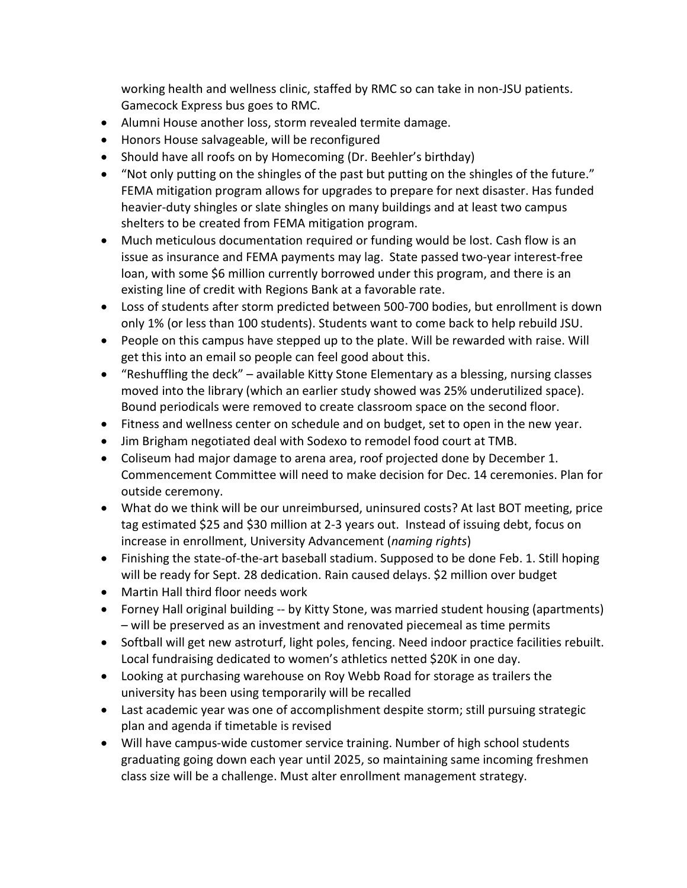working health and wellness clinic, staffed by RMC so can take in non-JSU patients. Gamecock Express bus goes to RMC.

- Alumni House another loss, storm revealed termite damage.
- Honors House salvageable, will be reconfigured
- Should have all roofs on by Homecoming (Dr. Beehler's birthday)
- "Not only putting on the shingles of the past but putting on the shingles of the future." FEMA mitigation program allows for upgrades to prepare for next disaster. Has funded heavier-duty shingles or slate shingles on many buildings and at least two campus shelters to be created from FEMA mitigation program.
- Much meticulous documentation required or funding would be lost. Cash flow is an issue as insurance and FEMA payments may lag. State passed two-year interest-free loan, with some \$6 million currently borrowed under this program, and there is an existing line of credit with Regions Bank at a favorable rate.
- Loss of students after storm predicted between 500-700 bodies, but enrollment is down only 1% (or less than 100 students). Students want to come back to help rebuild JSU.
- People on this campus have stepped up to the plate. Will be rewarded with raise. Will get this into an email so people can feel good about this.
- "Reshuffling the deck" available Kitty Stone Elementary as a blessing, nursing classes moved into the library (which an earlier study showed was 25% underutilized space). Bound periodicals were removed to create classroom space on the second floor.
- Fitness and wellness center on schedule and on budget, set to open in the new year.
- Jim Brigham negotiated deal with Sodexo to remodel food court at TMB.
- Coliseum had major damage to arena area, roof projected done by December 1. Commencement Committee will need to make decision for Dec. 14 ceremonies. Plan for outside ceremony.
- What do we think will be our unreimbursed, uninsured costs? At last BOT meeting, price tag estimated \$25 and \$30 million at 2-3 years out. Instead of issuing debt, focus on increase in enrollment, University Advancement (naming rights)
- Finishing the state-of-the-art baseball stadium. Supposed to be done Feb. 1. Still hoping will be ready for Sept. 28 dedication. Rain caused delays. \$2 million over budget
- Martin Hall third floor needs work
- Forney Hall original building -- by Kitty Stone, was married student housing (apartments) – will be preserved as an investment and renovated piecemeal as time permits
- Softball will get new astroturf, light poles, fencing. Need indoor practice facilities rebuilt. Local fundraising dedicated to women's athletics netted \$20K in one day.
- Looking at purchasing warehouse on Roy Webb Road for storage as trailers the university has been using temporarily will be recalled
- Last academic year was one of accomplishment despite storm; still pursuing strategic plan and agenda if timetable is revised
- Will have campus-wide customer service training. Number of high school students graduating going down each year until 2025, so maintaining same incoming freshmen class size will be a challenge. Must alter enrollment management strategy.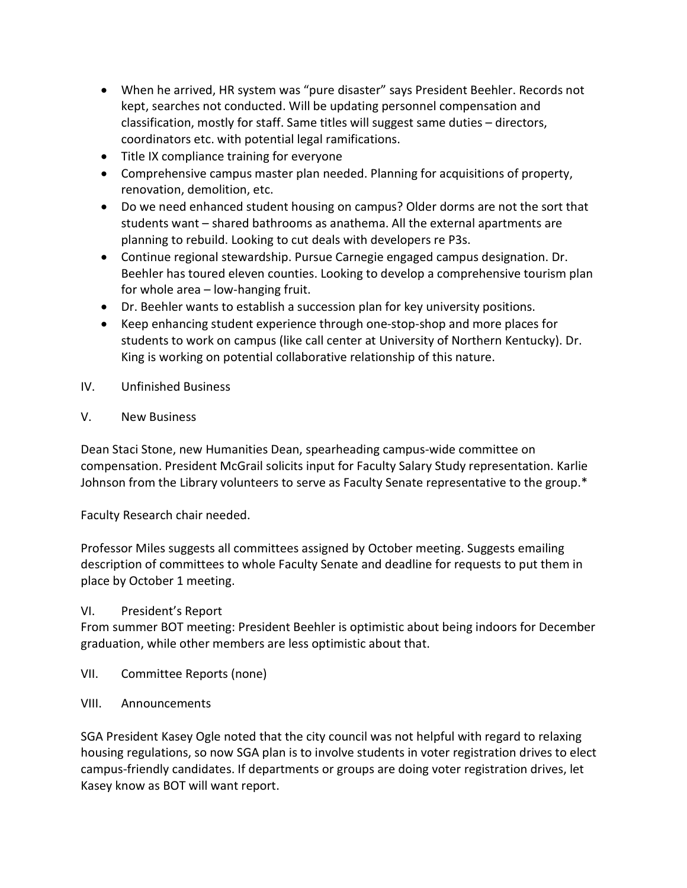- When he arrived, HR system was "pure disaster" says President Beehler. Records not kept, searches not conducted. Will be updating personnel compensation and classification, mostly for staff. Same titles will suggest same duties – directors, coordinators etc. with potential legal ramifications.
- Title IX compliance training for everyone
- Comprehensive campus master plan needed. Planning for acquisitions of property, renovation, demolition, etc.
- Do we need enhanced student housing on campus? Older dorms are not the sort that students want – shared bathrooms as anathema. All the external apartments are planning to rebuild. Looking to cut deals with developers re P3s.
- Continue regional stewardship. Pursue Carnegie engaged campus designation. Dr. Beehler has toured eleven counties. Looking to develop a comprehensive tourism plan for whole area – low-hanging fruit.
- Dr. Beehler wants to establish a succession plan for key university positions.
- Keep enhancing student experience through one-stop-shop and more places for students to work on campus (like call center at University of Northern Kentucky). Dr. King is working on potential collaborative relationship of this nature.
- IV. Unfinished Business
- V. New Business

Dean Staci Stone, new Humanities Dean, spearheading campus-wide committee on compensation. President McGrail solicits input for Faculty Salary Study representation. Karlie Johnson from the Library volunteers to serve as Faculty Senate representative to the group.\*

Faculty Research chair needed.

Professor Miles suggests all committees assigned by October meeting. Suggests emailing description of committees to whole Faculty Senate and deadline for requests to put them in place by October 1 meeting.

## VI. President's Report

From summer BOT meeting: President Beehler is optimistic about being indoors for December graduation, while other members are less optimistic about that.

- VII. Committee Reports (none)
- VIII. Announcements

SGA President Kasey Ogle noted that the city council was not helpful with regard to relaxing housing regulations, so now SGA plan is to involve students in voter registration drives to elect campus-friendly candidates. If departments or groups are doing voter registration drives, let Kasey know as BOT will want report.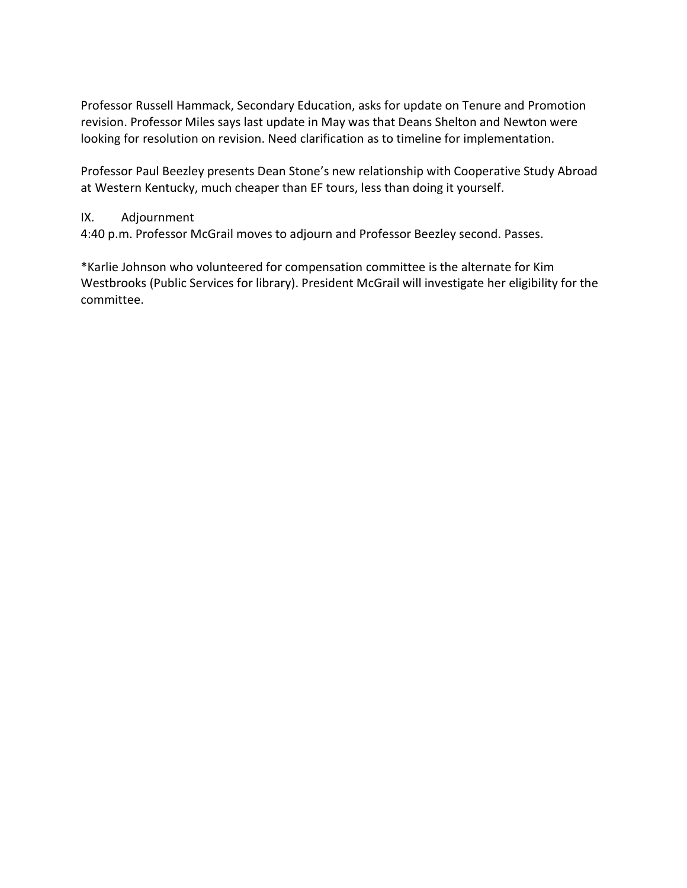Professor Russell Hammack, Secondary Education, asks for update on Tenure and Promotion revision. Professor Miles says last update in May was that Deans Shelton and Newton were looking for resolution on revision. Need clarification as to timeline for implementation.

Professor Paul Beezley presents Dean Stone's new relationship with Cooperative Study Abroad at Western Kentucky, much cheaper than EF tours, less than doing it yourself.

## IX. Adjournment

4:40 p.m. Professor McGrail moves to adjourn and Professor Beezley second. Passes.

\*Karlie Johnson who volunteered for compensation committee is the alternate for Kim Westbrooks (Public Services for library). President McGrail will investigate her eligibility for the committee.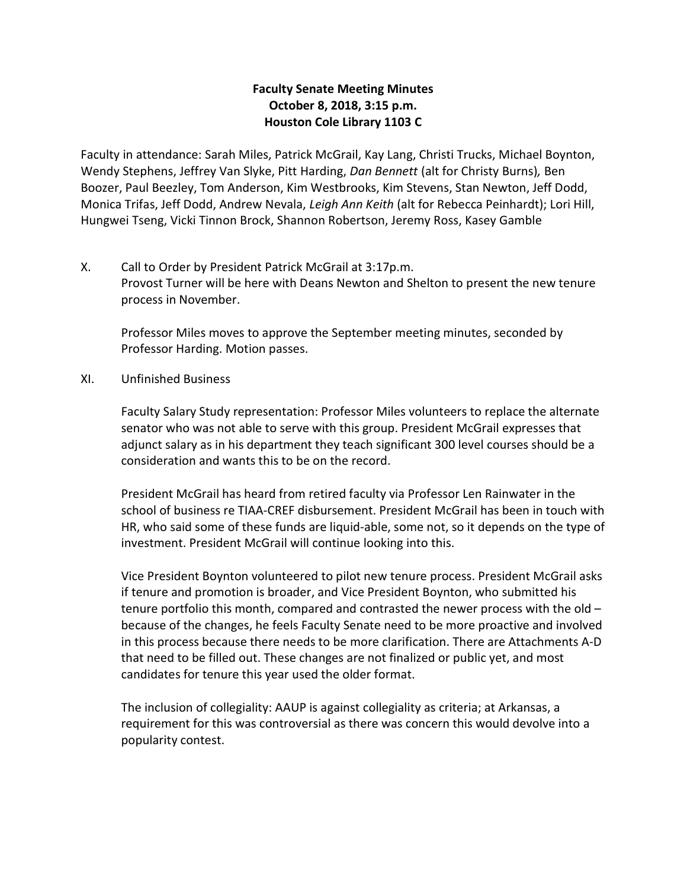## Faculty Senate Meeting Minutes October 8, 2018, 3:15 p.m. Houston Cole Library 1103 C

Faculty in attendance: Sarah Miles, Patrick McGrail, Kay Lang, Christi Trucks, Michael Boynton, Wendy Stephens, Jeffrey Van Slyke, Pitt Harding, Dan Bennett (alt for Christy Burns), Ben Boozer, Paul Beezley, Tom Anderson, Kim Westbrooks, Kim Stevens, Stan Newton, Jeff Dodd, Monica Trifas, Jeff Dodd, Andrew Nevala, Leigh Ann Keith (alt for Rebecca Peinhardt); Lori Hill, Hungwei Tseng, Vicki Tinnon Brock, Shannon Robertson, Jeremy Ross, Kasey Gamble

X. Call to Order by President Patrick McGrail at 3:17p.m. Provost Turner will be here with Deans Newton and Shelton to present the new tenure process in November.

Professor Miles moves to approve the September meeting minutes, seconded by Professor Harding. Motion passes.

XI. Unfinished Business

Faculty Salary Study representation: Professor Miles volunteers to replace the alternate senator who was not able to serve with this group. President McGrail expresses that adjunct salary as in his department they teach significant 300 level courses should be a consideration and wants this to be on the record.

President McGrail has heard from retired faculty via Professor Len Rainwater in the school of business re TIAA-CREF disbursement. President McGrail has been in touch with HR, who said some of these funds are liquid-able, some not, so it depends on the type of investment. President McGrail will continue looking into this.

Vice President Boynton volunteered to pilot new tenure process. President McGrail asks if tenure and promotion is broader, and Vice President Boynton, who submitted his tenure portfolio this month, compared and contrasted the newer process with the old – because of the changes, he feels Faculty Senate need to be more proactive and involved in this process because there needs to be more clarification. There are Attachments A-D that need to be filled out. These changes are not finalized or public yet, and most candidates for tenure this year used the older format.

The inclusion of collegiality: AAUP is against collegiality as criteria; at Arkansas, a requirement for this was controversial as there was concern this would devolve into a popularity contest.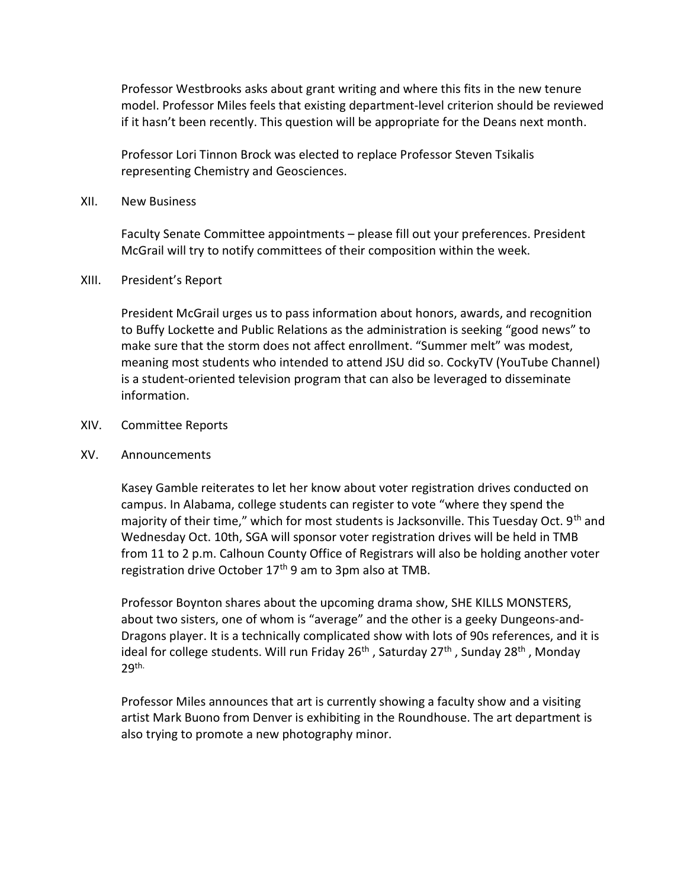Professor Westbrooks asks about grant writing and where this fits in the new tenure model. Professor Miles feels that existing department-level criterion should be reviewed if it hasn't been recently. This question will be appropriate for the Deans next month.

Professor Lori Tinnon Brock was elected to replace Professor Steven Tsikalis representing Chemistry and Geosciences.

#### XII. New Business

Faculty Senate Committee appointments – please fill out your preferences. President McGrail will try to notify committees of their composition within the week.

#### XIII. President's Report

President McGrail urges us to pass information about honors, awards, and recognition to Buffy Lockette and Public Relations as the administration is seeking "good news" to make sure that the storm does not affect enrollment. "Summer melt" was modest, meaning most students who intended to attend JSU did so. CockyTV (YouTube Channel) is a student-oriented television program that can also be leveraged to disseminate information.

#### XIV. Committee Reports

#### XV. Announcements

Kasey Gamble reiterates to let her know about voter registration drives conducted on campus. In Alabama, college students can register to vote "where they spend the majority of their time," which for most students is Jacksonville. This Tuesday Oct. 9<sup>th</sup> and Wednesday Oct. 10th, SGA will sponsor voter registration drives will be held in TMB from 11 to 2 p.m. Calhoun County Office of Registrars will also be holding another voter registration drive October 17<sup>th</sup> 9 am to 3pm also at TMB.

Professor Boynton shares about the upcoming drama show, SHE KILLS MONSTERS, about two sisters, one of whom is "average" and the other is a geeky Dungeons-and-Dragons player. It is a technically complicated show with lots of 90s references, and it is ideal for college students. Will run Friday 26<sup>th</sup>, Saturday 27<sup>th</sup>, Sunday 28<sup>th</sup>, Monday 29th.

Professor Miles announces that art is currently showing a faculty show and a visiting artist Mark Buono from Denver is exhibiting in the Roundhouse. The art department is also trying to promote a new photography minor.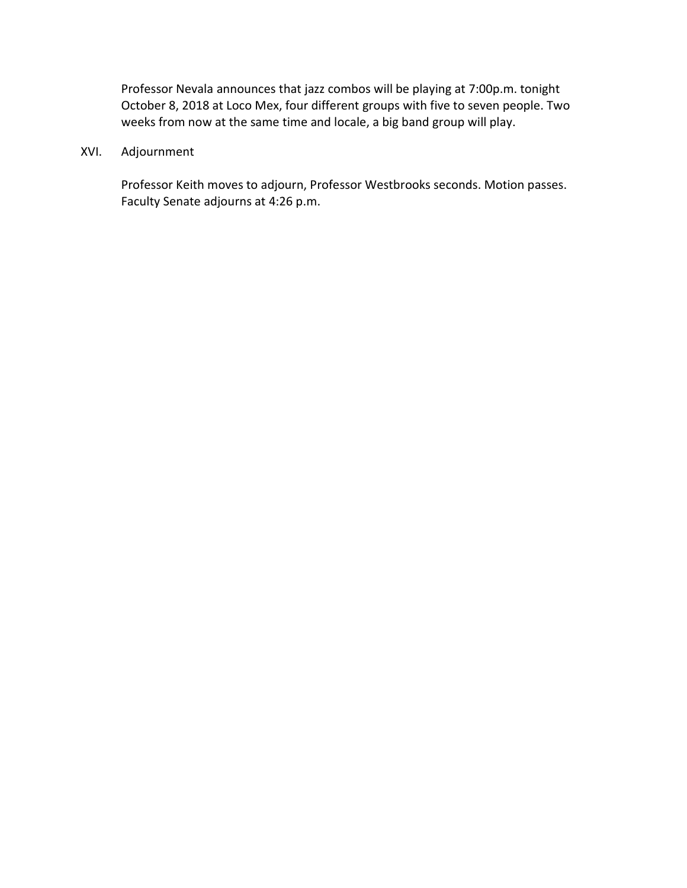Professor Nevala announces that jazz combos will be playing at 7:00p.m. tonight October 8, 2018 at Loco Mex, four different groups with five to seven people. Two weeks from now at the same time and locale, a big band group will play.

## XVI. Adjournment

Professor Keith moves to adjourn, Professor Westbrooks seconds. Motion passes. Faculty Senate adjourns at 4:26 p.m.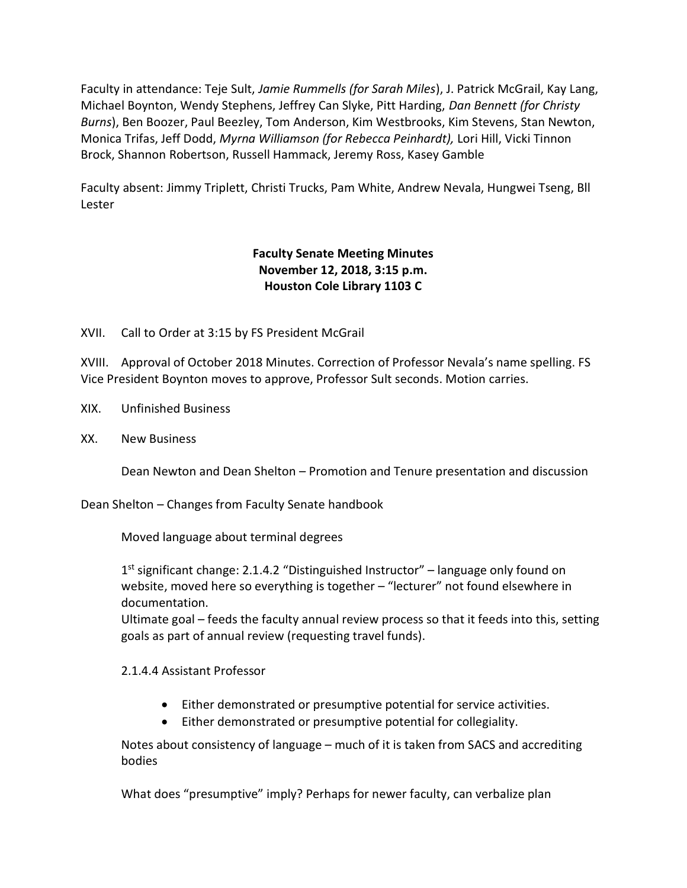Faculty in attendance: Teje Sult, Jamie Rummells (for Sarah Miles), J. Patrick McGrail, Kay Lang, Michael Boynton, Wendy Stephens, Jeffrey Can Slyke, Pitt Harding, Dan Bennett (for Christy Burns), Ben Boozer, Paul Beezley, Tom Anderson, Kim Westbrooks, Kim Stevens, Stan Newton, Monica Trifas, Jeff Dodd, Myrna Williamson (for Rebecca Peinhardt), Lori Hill, Vicki Tinnon Brock, Shannon Robertson, Russell Hammack, Jeremy Ross, Kasey Gamble

Faculty absent: Jimmy Triplett, Christi Trucks, Pam White, Andrew Nevala, Hungwei Tseng, Bll Lester

# Faculty Senate Meeting Minutes November 12, 2018, 3:15 p.m. Houston Cole Library 1103 C

XVII. Call to Order at 3:15 by FS President McGrail

XVIII. Approval of October 2018 Minutes. Correction of Professor Nevala's name spelling. FS Vice President Boynton moves to approve, Professor Sult seconds. Motion carries.

- XIX. Unfinished Business
- XX. New Business

Dean Newton and Dean Shelton – Promotion and Tenure presentation and discussion

Dean Shelton – Changes from Faculty Senate handbook

Moved language about terminal degrees

1<sup>st</sup> significant change: 2.1.4.2 "Distinguished Instructor" - language only found on website, moved here so everything is together – "lecturer" not found elsewhere in documentation.

Ultimate goal – feeds the faculty annual review process so that it feeds into this, setting goals as part of annual review (requesting travel funds).

2.1.4.4 Assistant Professor

- Either demonstrated or presumptive potential for service activities.
- Either demonstrated or presumptive potential for collegiality.

Notes about consistency of language – much of it is taken from SACS and accrediting bodies

What does "presumptive" imply? Perhaps for newer faculty, can verbalize plan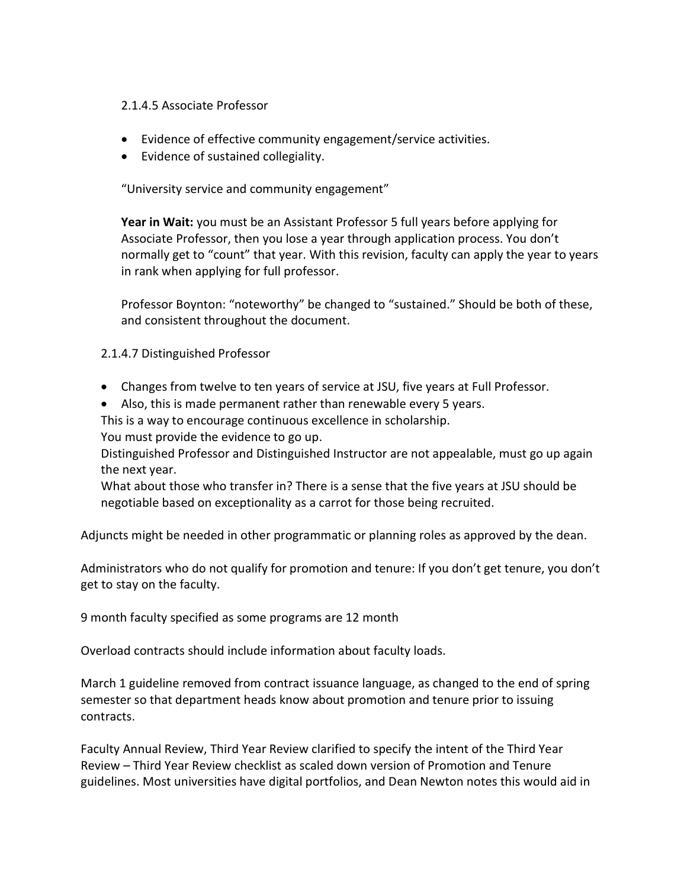### 2.1.4.5 Associate Professor

- Evidence of effective community engagement/service activities.
- Evidence of sustained collegiality.

"University service and community engagement"

Year in Wait: you must be an Assistant Professor 5 full years before applying for Associate Professor, then you lose a year through application process. You don't normally get to "count" that year. With this revision, faculty can apply the year to years in rank when applying for full professor.

Professor Boynton: "noteworthy" be changed to "sustained." Should be both of these, and consistent throughout the document.

## 2.1.4.7 Distinguished Professor

- Changes from twelve to ten years of service at JSU, five years at Full Professor.
- Also, this is made permanent rather than renewable every 5 years.

This is a way to encourage continuous excellence in scholarship.

You must provide the evidence to go up.

Distinguished Professor and Distinguished Instructor are not appealable, must go up again the next year.

What about those who transfer in? There is a sense that the five years at JSU should be negotiable based on exceptionality as a carrot for those being recruited.

Adjuncts might be needed in other programmatic or planning roles as approved by the dean.

Administrators who do not qualify for promotion and tenure: If you don't get tenure, you don't get to stay on the faculty.

9 month faculty specified as some programs are 12 month

Overload contracts should include information about faculty loads.

March 1 guideline removed from contract issuance language, as changed to the end of spring semester so that department heads know about promotion and tenure prior to issuing contracts.

Faculty Annual Review, Third Year Review clarified to specify the intent of the Third Year Review – Third Year Review checklist as scaled down version of Promotion and Tenure guidelines. Most universities have digital portfolios, and Dean Newton notes this would aid in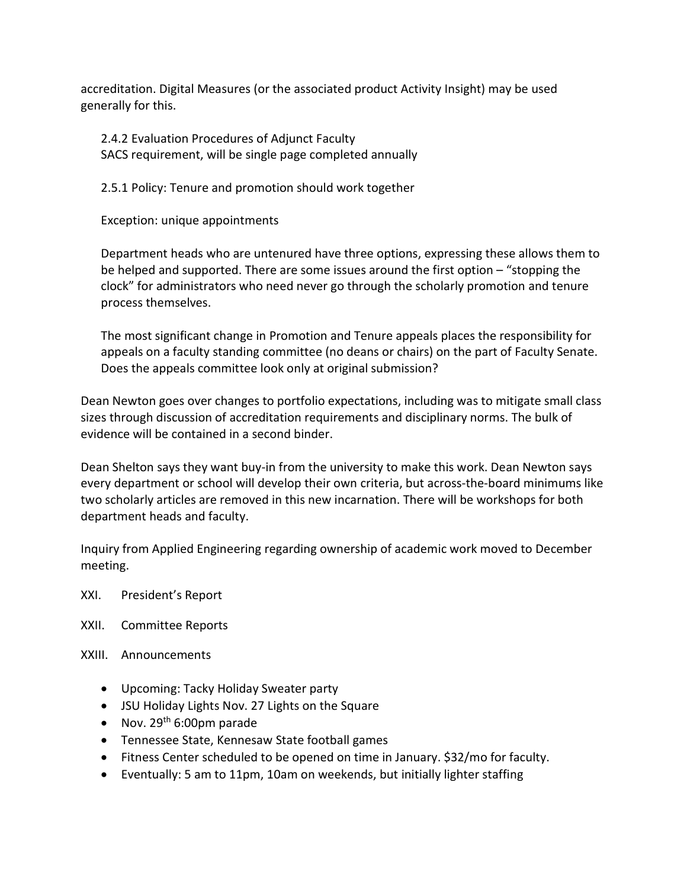accreditation. Digital Measures (or the associated product Activity Insight) may be used generally for this.

2.4.2 Evaluation Procedures of Adjunct Faculty SACS requirement, will be single page completed annually

2.5.1 Policy: Tenure and promotion should work together

Exception: unique appointments

Department heads who are untenured have three options, expressing these allows them to be helped and supported. There are some issues around the first option – "stopping the clock" for administrators who need never go through the scholarly promotion and tenure process themselves.

The most significant change in Promotion and Tenure appeals places the responsibility for appeals on a faculty standing committee (no deans or chairs) on the part of Faculty Senate. Does the appeals committee look only at original submission?

Dean Newton goes over changes to portfolio expectations, including was to mitigate small class sizes through discussion of accreditation requirements and disciplinary norms. The bulk of evidence will be contained in a second binder.

Dean Shelton says they want buy-in from the university to make this work. Dean Newton says every department or school will develop their own criteria, but across-the-board minimums like two scholarly articles are removed in this new incarnation. There will be workshops for both department heads and faculty.

Inquiry from Applied Engineering regarding ownership of academic work moved to December meeting.

XXI. President's Report

XXII. Committee Reports

XXIII. Announcements

- Upcoming: Tacky Holiday Sweater party
- JSU Holiday Lights Nov. 27 Lights on the Square
- Nov.  $29<sup>th</sup>$  6:00pm parade
- Tennessee State, Kennesaw State football games
- Fitness Center scheduled to be opened on time in January. \$32/mo for faculty.
- Eventually: 5 am to 11pm, 10am on weekends, but initially lighter staffing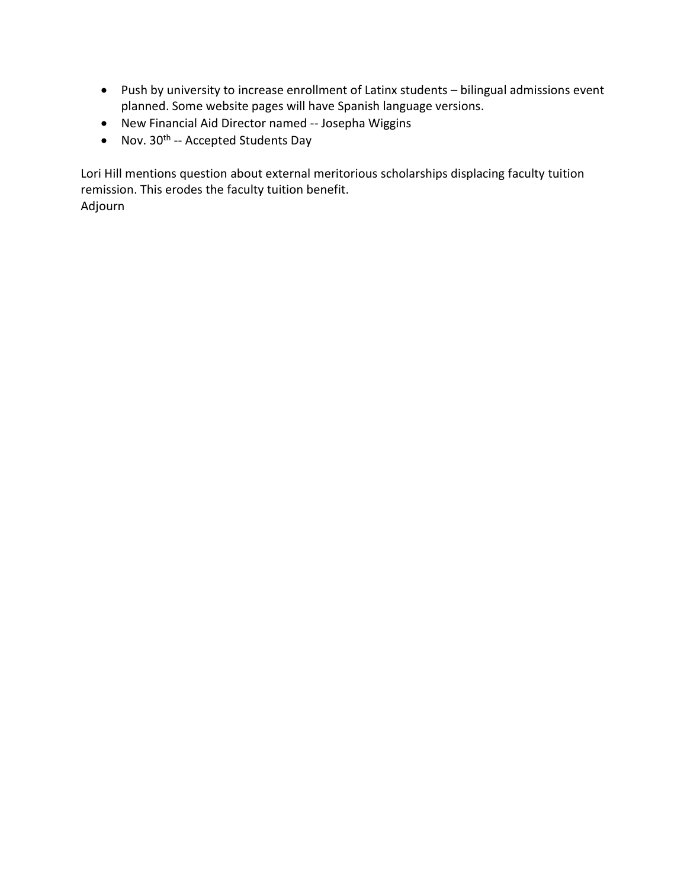- Push by university to increase enrollment of Latinx students bilingual admissions event planned. Some website pages will have Spanish language versions.
- New Financial Aid Director named -- Josepha Wiggins
- Nov.  $30^{th}$  -- Accepted Students Day

Lori Hill mentions question about external meritorious scholarships displacing faculty tuition remission. This erodes the faculty tuition benefit. Adjourn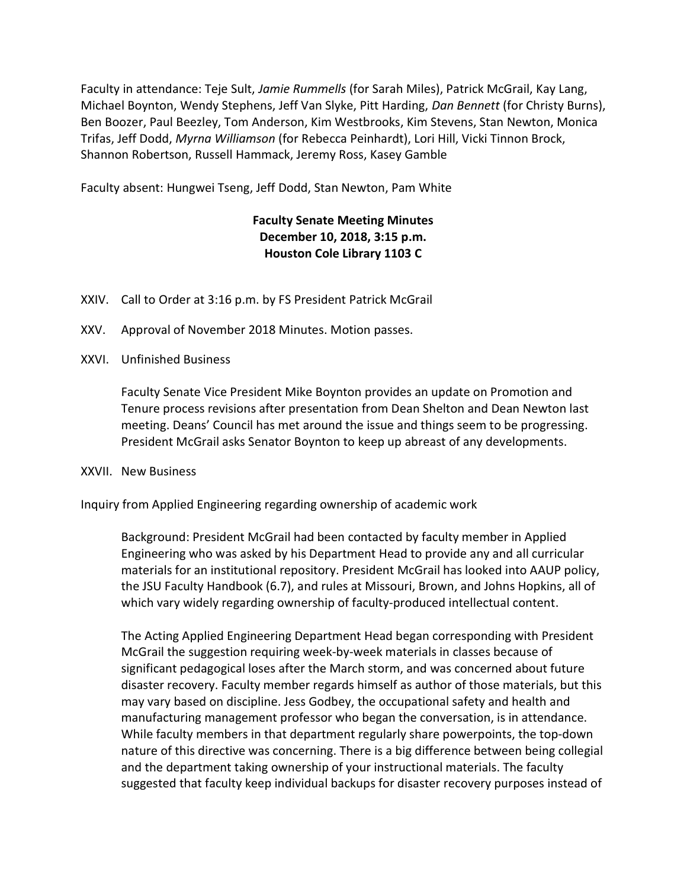Faculty in attendance: Teje Sult, Jamie Rummells (for Sarah Miles), Patrick McGrail, Kay Lang, Michael Boynton, Wendy Stephens, Jeff Van Slyke, Pitt Harding, Dan Bennett (for Christy Burns), Ben Boozer, Paul Beezley, Tom Anderson, Kim Westbrooks, Kim Stevens, Stan Newton, Monica Trifas, Jeff Dodd, Myrna Williamson (for Rebecca Peinhardt), Lori Hill, Vicki Tinnon Brock, Shannon Robertson, Russell Hammack, Jeremy Ross, Kasey Gamble

Faculty absent: Hungwei Tseng, Jeff Dodd, Stan Newton, Pam White

# Faculty Senate Meeting Minutes December 10, 2018, 3:15 p.m. Houston Cole Library 1103 C

- XXIV. Call to Order at 3:16 p.m. by FS President Patrick McGrail
- XXV. Approval of November 2018 Minutes. Motion passes.
- XXVI. Unfinished Business

Faculty Senate Vice President Mike Boynton provides an update on Promotion and Tenure process revisions after presentation from Dean Shelton and Dean Newton last meeting. Deans' Council has met around the issue and things seem to be progressing. President McGrail asks Senator Boynton to keep up abreast of any developments.

### XXVII. New Business

Inquiry from Applied Engineering regarding ownership of academic work

Background: President McGrail had been contacted by faculty member in Applied Engineering who was asked by his Department Head to provide any and all curricular materials for an institutional repository. President McGrail has looked into AAUP policy, the JSU Faculty Handbook (6.7), and rules at Missouri, Brown, and Johns Hopkins, all of which vary widely regarding ownership of faculty-produced intellectual content.

The Acting Applied Engineering Department Head began corresponding with President McGrail the suggestion requiring week-by-week materials in classes because of significant pedagogical loses after the March storm, and was concerned about future disaster recovery. Faculty member regards himself as author of those materials, but this may vary based on discipline. Jess Godbey, the occupational safety and health and manufacturing management professor who began the conversation, is in attendance. While faculty members in that department regularly share powerpoints, the top-down nature of this directive was concerning. There is a big difference between being collegial and the department taking ownership of your instructional materials. The faculty suggested that faculty keep individual backups for disaster recovery purposes instead of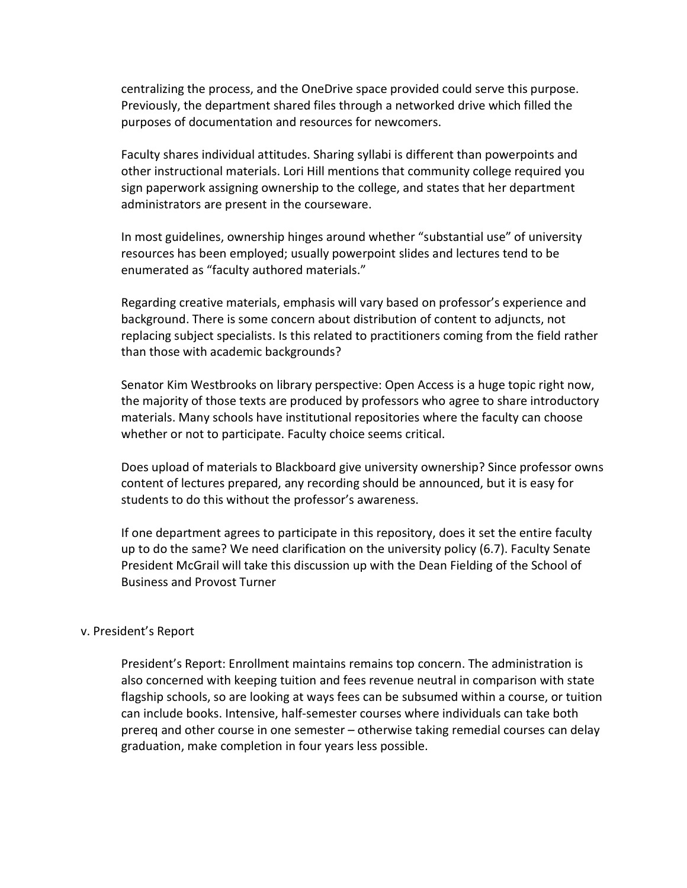centralizing the process, and the OneDrive space provided could serve this purpose. Previously, the department shared files through a networked drive which filled the purposes of documentation and resources for newcomers.

Faculty shares individual attitudes. Sharing syllabi is different than powerpoints and other instructional materials. Lori Hill mentions that community college required you sign paperwork assigning ownership to the college, and states that her department administrators are present in the courseware.

In most guidelines, ownership hinges around whether "substantial use" of university resources has been employed; usually powerpoint slides and lectures tend to be enumerated as "faculty authored materials."

Regarding creative materials, emphasis will vary based on professor's experience and background. There is some concern about distribution of content to adjuncts, not replacing subject specialists. Is this related to practitioners coming from the field rather than those with academic backgrounds?

Senator Kim Westbrooks on library perspective: Open Access is a huge topic right now, the majority of those texts are produced by professors who agree to share introductory materials. Many schools have institutional repositories where the faculty can choose whether or not to participate. Faculty choice seems critical.

Does upload of materials to Blackboard give university ownership? Since professor owns content of lectures prepared, any recording should be announced, but it is easy for students to do this without the professor's awareness.

If one department agrees to participate in this repository, does it set the entire faculty up to do the same? We need clarification on the university policy (6.7). Faculty Senate President McGrail will take this discussion up with the Dean Fielding of the School of Business and Provost Turner

### v. President's Report

President's Report: Enrollment maintains remains top concern. The administration is also concerned with keeping tuition and fees revenue neutral in comparison with state flagship schools, so are looking at ways fees can be subsumed within a course, or tuition can include books. Intensive, half-semester courses where individuals can take both prereq and other course in one semester – otherwise taking remedial courses can delay graduation, make completion in four years less possible.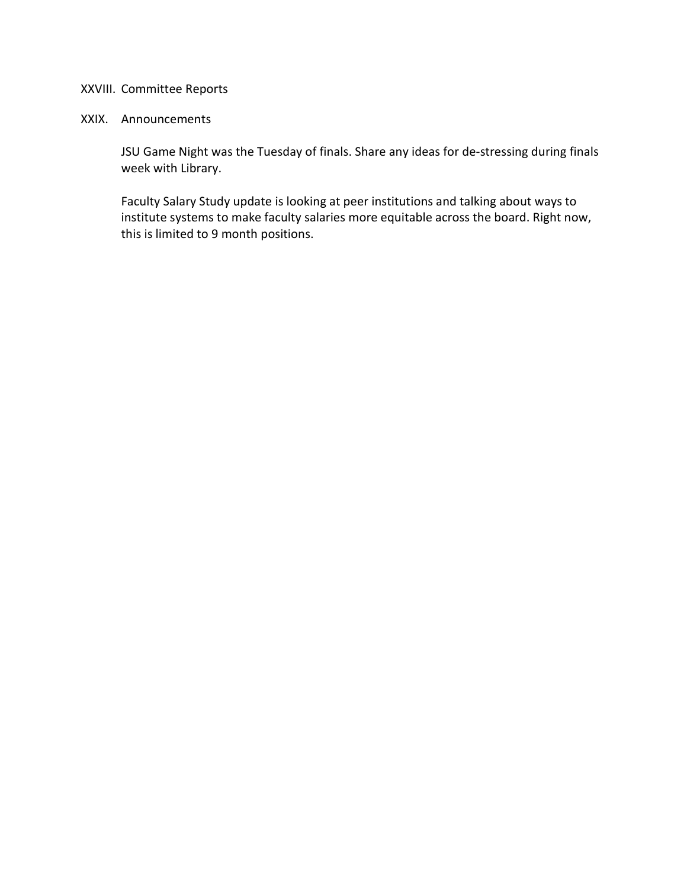## XXVIII. Committee Reports

#### XXIX. Announcements

JSU Game Night was the Tuesday of finals. Share any ideas for de-stressing during finals week with Library.

Faculty Salary Study update is looking at peer institutions and talking about ways to institute systems to make faculty salaries more equitable across the board. Right now, this is limited to 9 month positions.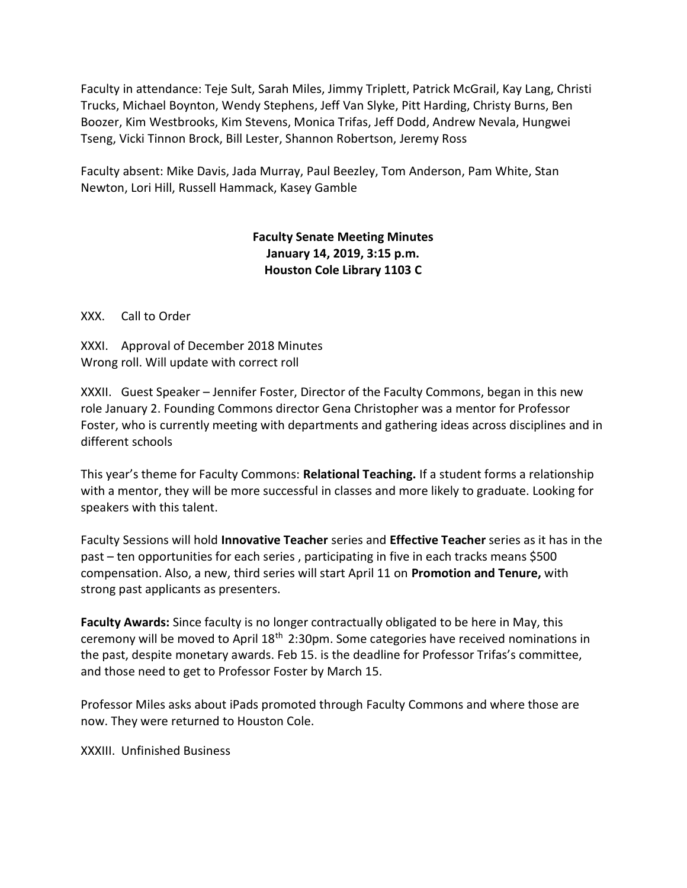Faculty in attendance: Teje Sult, Sarah Miles, Jimmy Triplett, Patrick McGrail, Kay Lang, Christi Trucks, Michael Boynton, Wendy Stephens, Jeff Van Slyke, Pitt Harding, Christy Burns, Ben Boozer, Kim Westbrooks, Kim Stevens, Monica Trifas, Jeff Dodd, Andrew Nevala, Hungwei Tseng, Vicki Tinnon Brock, Bill Lester, Shannon Robertson, Jeremy Ross

Faculty absent: Mike Davis, Jada Murray, Paul Beezley, Tom Anderson, Pam White, Stan Newton, Lori Hill, Russell Hammack, Kasey Gamble

# Faculty Senate Meeting Minutes January 14, 2019, 3:15 p.m. Houston Cole Library 1103 C

XXX. Call to Order

XXXI. Approval of December 2018 Minutes Wrong roll. Will update with correct roll

XXXII. Guest Speaker – Jennifer Foster, Director of the Faculty Commons, began in this new role January 2. Founding Commons director Gena Christopher was a mentor for Professor Foster, who is currently meeting with departments and gathering ideas across disciplines and in different schools

This year's theme for Faculty Commons: Relational Teaching. If a student forms a relationship with a mentor, they will be more successful in classes and more likely to graduate. Looking for speakers with this talent.

Faculty Sessions will hold Innovative Teacher series and Effective Teacher series as it has in the past – ten opportunities for each series , participating in five in each tracks means \$500 compensation. Also, a new, third series will start April 11 on Promotion and Tenure, with strong past applicants as presenters.

Faculty Awards: Since faculty is no longer contractually obligated to be here in May, this ceremony will be moved to April 18<sup>th</sup> 2:30pm. Some categories have received nominations in the past, despite monetary awards. Feb 15. is the deadline for Professor Trifas's committee, and those need to get to Professor Foster by March 15.

Professor Miles asks about iPads promoted through Faculty Commons and where those are now. They were returned to Houston Cole.

XXXIII. Unfinished Business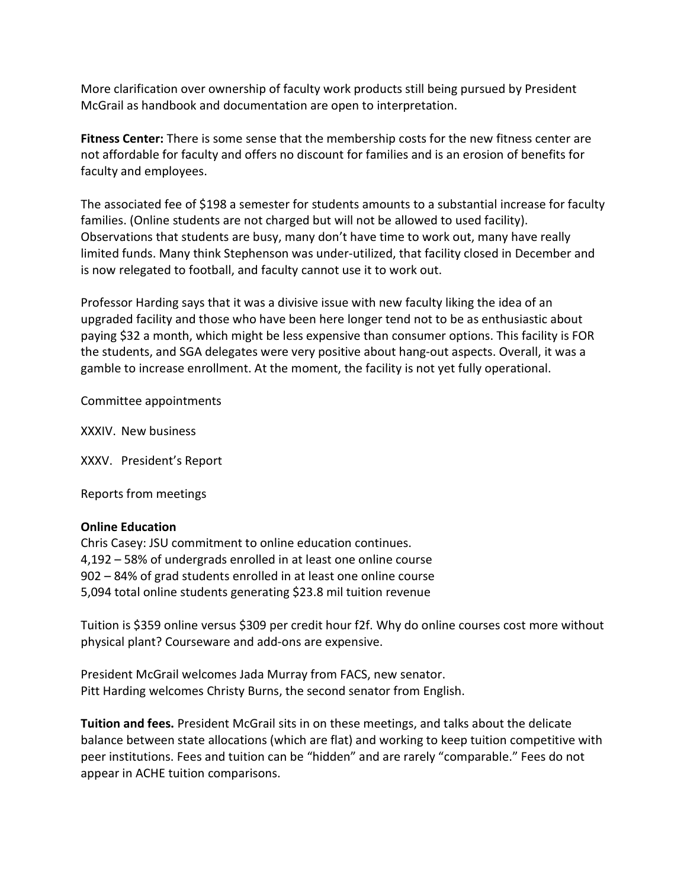More clarification over ownership of faculty work products still being pursued by President McGrail as handbook and documentation are open to interpretation.

Fitness Center: There is some sense that the membership costs for the new fitness center are not affordable for faculty and offers no discount for families and is an erosion of benefits for faculty and employees.

The associated fee of \$198 a semester for students amounts to a substantial increase for faculty families. (Online students are not charged but will not be allowed to used facility). Observations that students are busy, many don't have time to work out, many have really limited funds. Many think Stephenson was under-utilized, that facility closed in December and is now relegated to football, and faculty cannot use it to work out.

Professor Harding says that it was a divisive issue with new faculty liking the idea of an upgraded facility and those who have been here longer tend not to be as enthusiastic about paying \$32 a month, which might be less expensive than consumer options. This facility is FOR the students, and SGA delegates were very positive about hang-out aspects. Overall, it was a gamble to increase enrollment. At the moment, the facility is not yet fully operational.

Committee appointments

XXXIV. New business

XXXV. President's Report

Reports from meetings

#### Online Education

Chris Casey: JSU commitment to online education continues. 4,192 – 58% of undergrads enrolled in at least one online course 902 – 84% of grad students enrolled in at least one online course 5,094 total online students generating \$23.8 mil tuition revenue

Tuition is \$359 online versus \$309 per credit hour f2f. Why do online courses cost more without physical plant? Courseware and add-ons are expensive.

President McGrail welcomes Jada Murray from FACS, new senator. Pitt Harding welcomes Christy Burns, the second senator from English.

Tuition and fees. President McGrail sits in on these meetings, and talks about the delicate balance between state allocations (which are flat) and working to keep tuition competitive with peer institutions. Fees and tuition can be "hidden" and are rarely "comparable." Fees do not appear in ACHE tuition comparisons.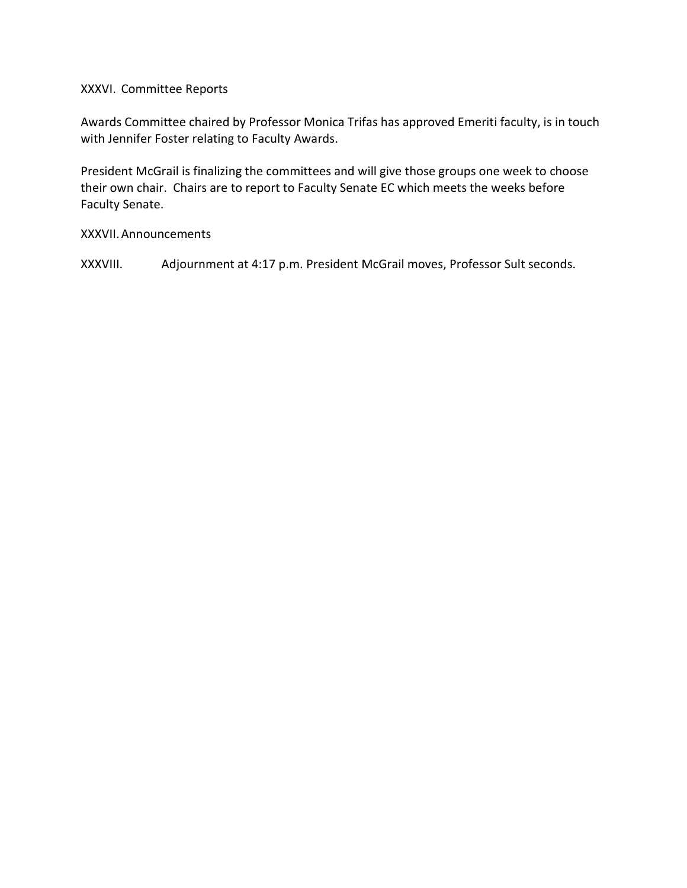### XXXVI. Committee Reports

Awards Committee chaired by Professor Monica Trifas has approved Emeriti faculty, is in touch with Jennifer Foster relating to Faculty Awards.

President McGrail is finalizing the committees and will give those groups one week to choose their own chair. Chairs are to report to Faculty Senate EC which meets the weeks before Faculty Senate.

### XXXVII.Announcements

XXXVIII. Adjournment at 4:17 p.m. President McGrail moves, Professor Sult seconds.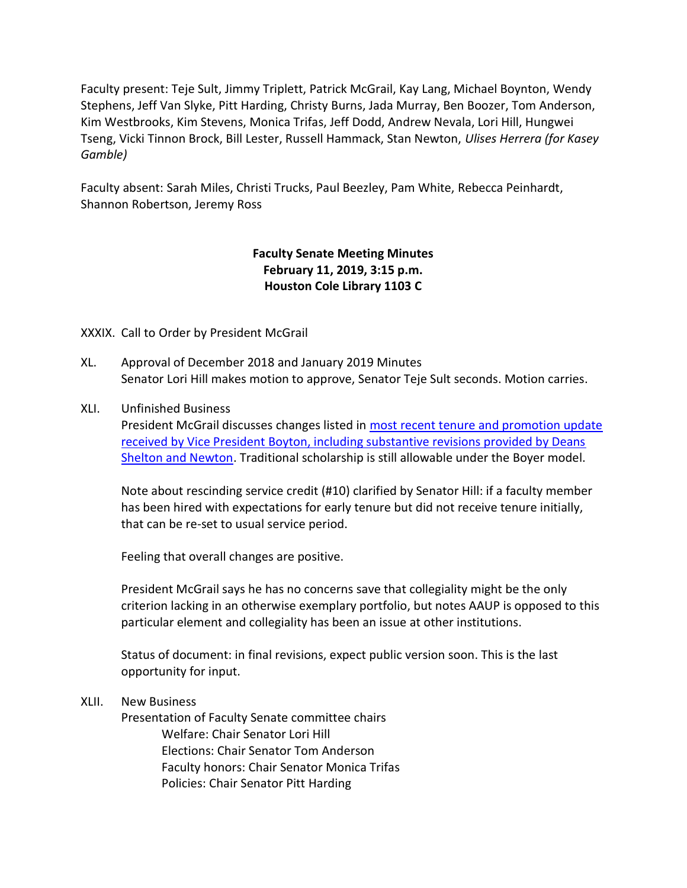Faculty present: Teje Sult, Jimmy Triplett, Patrick McGrail, Kay Lang, Michael Boynton, Wendy Stephens, Jeff Van Slyke, Pitt Harding, Christy Burns, Jada Murray, Ben Boozer, Tom Anderson, Kim Westbrooks, Kim Stevens, Monica Trifas, Jeff Dodd, Andrew Nevala, Lori Hill, Hungwei Tseng, Vicki Tinnon Brock, Bill Lester, Russell Hammack, Stan Newton, Ulises Herrera (for Kasey Gamble)

Faculty absent: Sarah Miles, Christi Trucks, Paul Beezley, Pam White, Rebecca Peinhardt, Shannon Robertson, Jeremy Ross

# Faculty Senate Meeting Minutes February 11, 2019, 3:15 p.m. Houston Cole Library 1103 C

## XXXIX. Call to Order by President McGrail

- XL. Approval of December 2018 and January 2019 Minutes Senator Lori Hill makes motion to approve, Senator Teje Sult seconds. Motion carries.
- XLI. Unfinished Business

President McGrail discusses changes listed in most recent tenure and promotion update received by Vice President Boyton, including substantive revisions provided by Deans Shelton and Newton. Traditional scholarship is still allowable under the Boyer model.

Note about rescinding service credit (#10) clarified by Senator Hill: if a faculty member has been hired with expectations for early tenure but did not receive tenure initially, that can be re-set to usual service period.

Feeling that overall changes are positive.

President McGrail says he has no concerns save that collegiality might be the only criterion lacking in an otherwise exemplary portfolio, but notes AAUP is opposed to this particular element and collegiality has been an issue at other institutions.

Status of document: in final revisions, expect public version soon. This is the last opportunity for input.

### XLII. New Business

Presentation of Faculty Senate committee chairs Welfare: Chair Senator Lori Hill Elections: Chair Senator Tom Anderson Faculty honors: Chair Senator Monica Trifas Policies: Chair Senator Pitt Harding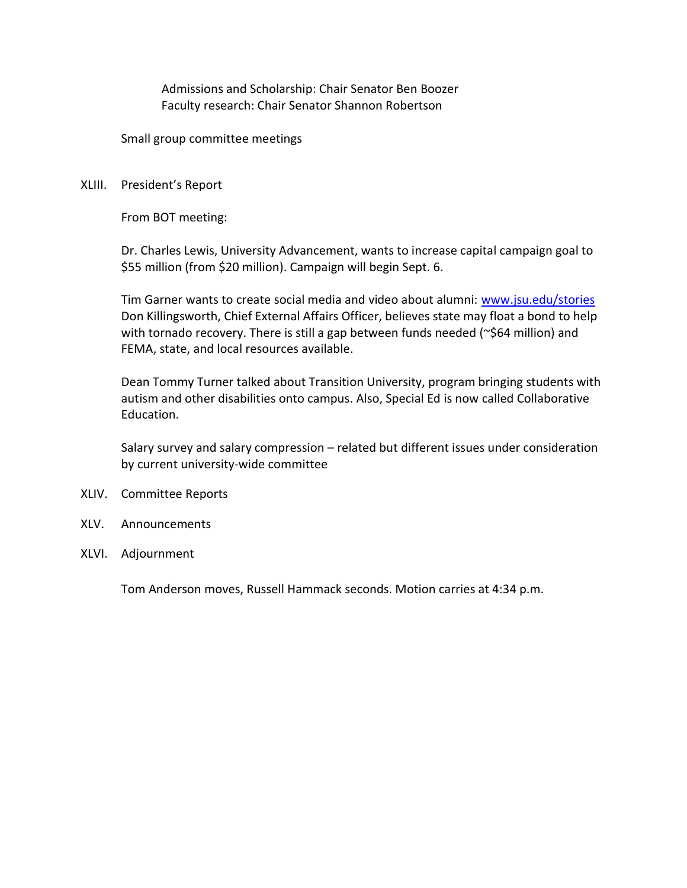Admissions and Scholarship: Chair Senator Ben Boozer Faculty research: Chair Senator Shannon Robertson

Small group committee meetings

#### XLIII. President's Report

From BOT meeting:

Dr. Charles Lewis, University Advancement, wants to increase capital campaign goal to \$55 million (from \$20 million). Campaign will begin Sept. 6.

Tim Garner wants to create social media and video about alumni: www.jsu.edu/stories Don Killingsworth, Chief External Affairs Officer, believes state may float a bond to help with tornado recovery. There is still a gap between funds needed (~\$64 million) and FEMA, state, and local resources available.

Dean Tommy Turner talked about Transition University, program bringing students with autism and other disabilities onto campus. Also, Special Ed is now called Collaborative Education.

Salary survey and salary compression – related but different issues under consideration by current university-wide committee

- XLIV. Committee Reports
- XLV. Announcements
- XLVI. Adjournment

Tom Anderson moves, Russell Hammack seconds. Motion carries at 4:34 p.m.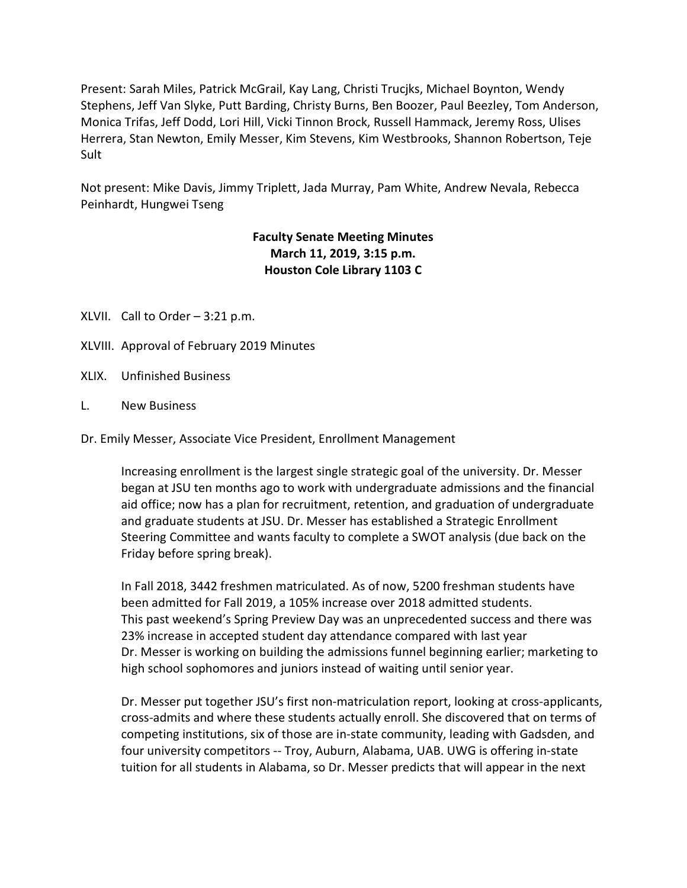Present: Sarah Miles, Patrick McGrail, Kay Lang, Christi Trucjks, Michael Boynton, Wendy Stephens, Jeff Van Slyke, Putt Barding, Christy Burns, Ben Boozer, Paul Beezley, Tom Anderson, Monica Trifas, Jeff Dodd, Lori Hill, Vicki Tinnon Brock, Russell Hammack, Jeremy Ross, Ulises Herrera, Stan Newton, Emily Messer, Kim Stevens, Kim Westbrooks, Shannon Robertson, Teje Sult

Not present: Mike Davis, Jimmy Triplett, Jada Murray, Pam White, Andrew Nevala, Rebecca Peinhardt, Hungwei Tseng

# Faculty Senate Meeting Minutes March 11, 2019, 3:15 p.m. Houston Cole Library 1103 C

- XLVII. Call to Order 3:21 p.m.
- XLVIII. Approval of February 2019 Minutes
- XLIX. Unfinished Business
- L. New Business

Dr. Emily Messer, Associate Vice President, Enrollment Management

Increasing enrollment is the largest single strategic goal of the university. Dr. Messer began at JSU ten months ago to work with undergraduate admissions and the financial aid office; now has a plan for recruitment, retention, and graduation of undergraduate and graduate students at JSU. Dr. Messer has established a Strategic Enrollment Steering Committee and wants faculty to complete a SWOT analysis (due back on the Friday before spring break).

In Fall 2018, 3442 freshmen matriculated. As of now, 5200 freshman students have been admitted for Fall 2019, a 105% increase over 2018 admitted students. This past weekend's Spring Preview Day was an unprecedented success and there was 23% increase in accepted student day attendance compared with last year Dr. Messer is working on building the admissions funnel beginning earlier; marketing to high school sophomores and juniors instead of waiting until senior year.

Dr. Messer put together JSU's first non-matriculation report, looking at cross-applicants, cross-admits and where these students actually enroll. She discovered that on terms of competing institutions, six of those are in-state community, leading with Gadsden, and four university competitors -- Troy, Auburn, Alabama, UAB. UWG is offering in-state tuition for all students in Alabama, so Dr. Messer predicts that will appear in the next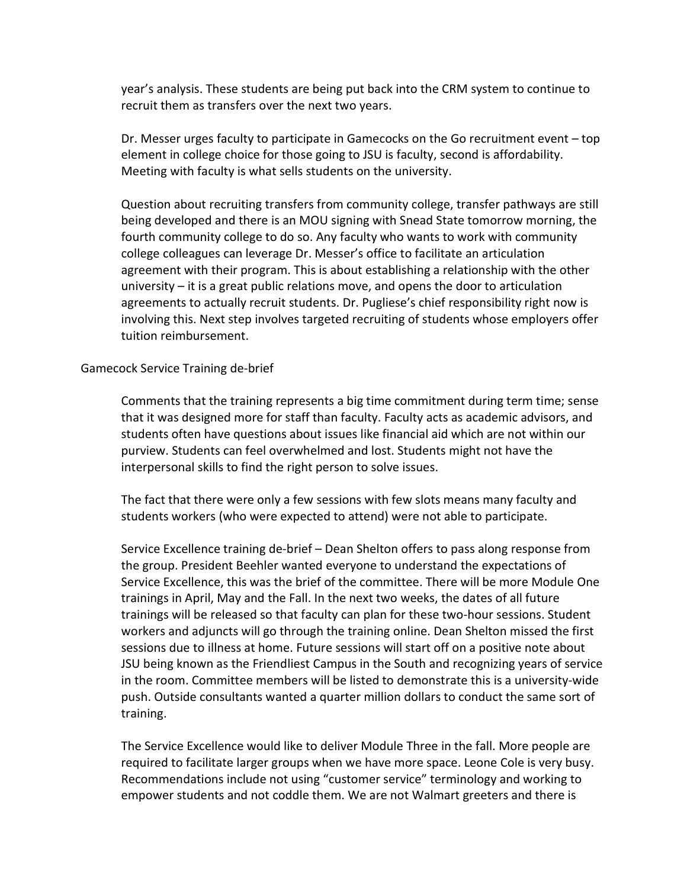year's analysis. These students are being put back into the CRM system to continue to recruit them as transfers over the next two years.

Dr. Messer urges faculty to participate in Gamecocks on the Go recruitment event – top element in college choice for those going to JSU is faculty, second is affordability. Meeting with faculty is what sells students on the university.

Question about recruiting transfers from community college, transfer pathways are still being developed and there is an MOU signing with Snead State tomorrow morning, the fourth community college to do so. Any faculty who wants to work with community college colleagues can leverage Dr. Messer's office to facilitate an articulation agreement with their program. This is about establishing a relationship with the other university – it is a great public relations move, and opens the door to articulation agreements to actually recruit students. Dr. Pugliese's chief responsibility right now is involving this. Next step involves targeted recruiting of students whose employers offer tuition reimbursement.

#### Gamecock Service Training de-brief

Comments that the training represents a big time commitment during term time; sense that it was designed more for staff than faculty. Faculty acts as academic advisors, and students often have questions about issues like financial aid which are not within our purview. Students can feel overwhelmed and lost. Students might not have the interpersonal skills to find the right person to solve issues.

The fact that there were only a few sessions with few slots means many faculty and students workers (who were expected to attend) were not able to participate.

Service Excellence training de-brief – Dean Shelton offers to pass along response from the group. President Beehler wanted everyone to understand the expectations of Service Excellence, this was the brief of the committee. There will be more Module One trainings in April, May and the Fall. In the next two weeks, the dates of all future trainings will be released so that faculty can plan for these two-hour sessions. Student workers and adjuncts will go through the training online. Dean Shelton missed the first sessions due to illness at home. Future sessions will start off on a positive note about JSU being known as the Friendliest Campus in the South and recognizing years of service in the room. Committee members will be listed to demonstrate this is a university-wide push. Outside consultants wanted a quarter million dollars to conduct the same sort of training.

The Service Excellence would like to deliver Module Three in the fall. More people are required to facilitate larger groups when we have more space. Leone Cole is very busy. Recommendations include not using "customer service" terminology and working to empower students and not coddle them. We are not Walmart greeters and there is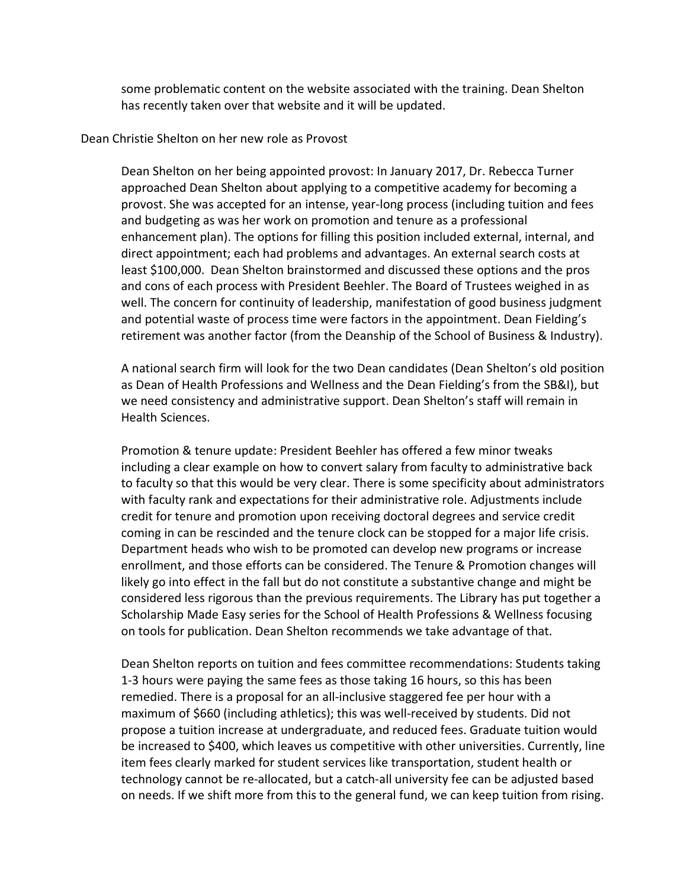some problematic content on the website associated with the training. Dean Shelton has recently taken over that website and it will be updated.

#### Dean Christie Shelton on her new role as Provost

Dean Shelton on her being appointed provost: In January 2017, Dr. Rebecca Turner approached Dean Shelton about applying to a competitive academy for becoming a provost. She was accepted for an intense, year-long process (including tuition and fees and budgeting as was her work on promotion and tenure as a professional enhancement plan). The options for filling this position included external, internal, and direct appointment; each had problems and advantages. An external search costs at least \$100,000. Dean Shelton brainstormed and discussed these options and the pros and cons of each process with President Beehler. The Board of Trustees weighed in as well. The concern for continuity of leadership, manifestation of good business judgment and potential waste of process time were factors in the appointment. Dean Fielding's retirement was another factor (from the Deanship of the School of Business & Industry).

A national search firm will look for the two Dean candidates (Dean Shelton's old position as Dean of Health Professions and Wellness and the Dean Fielding's from the SB&I), but we need consistency and administrative support. Dean Shelton's staff will remain in Health Sciences.

Promotion & tenure update: President Beehler has offered a few minor tweaks including a clear example on how to convert salary from faculty to administrative back to faculty so that this would be very clear. There is some specificity about administrators with faculty rank and expectations for their administrative role. Adjustments include credit for tenure and promotion upon receiving doctoral degrees and service credit coming in can be rescinded and the tenure clock can be stopped for a major life crisis. Department heads who wish to be promoted can develop new programs or increase enrollment, and those efforts can be considered. The Tenure & Promotion changes will likely go into effect in the fall but do not constitute a substantive change and might be considered less rigorous than the previous requirements. The Library has put together a Scholarship Made Easy series for the School of Health Professions & Wellness focusing on tools for publication. Dean Shelton recommends we take advantage of that.

Dean Shelton reports on tuition and fees committee recommendations: Students taking 1-3 hours were paying the same fees as those taking 16 hours, so this has been remedied. There is a proposal for an all-inclusive staggered fee per hour with a maximum of \$660 (including athletics); this was well-received by students. Did not propose a tuition increase at undergraduate, and reduced fees. Graduate tuition would be increased to \$400, which leaves us competitive with other universities. Currently, line item fees clearly marked for student services like transportation, student health or technology cannot be re-allocated, but a catch-all university fee can be adjusted based on needs. If we shift more from this to the general fund, we can keep tuition from rising.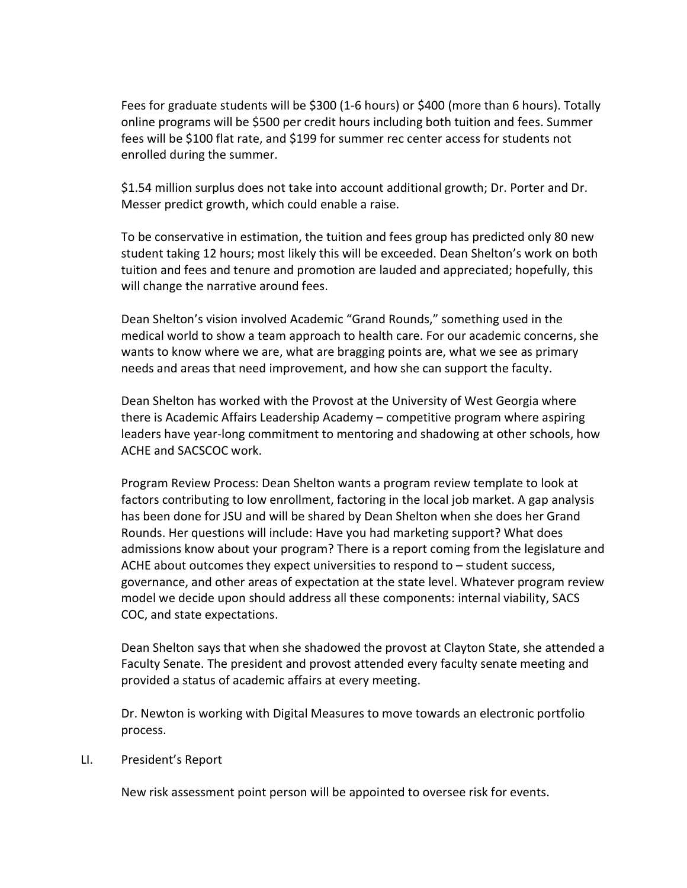Fees for graduate students will be \$300 (1-6 hours) or \$400 (more than 6 hours). Totally online programs will be \$500 per credit hours including both tuition and fees. Summer fees will be \$100 flat rate, and \$199 for summer rec center access for students not enrolled during the summer.

\$1.54 million surplus does not take into account additional growth; Dr. Porter and Dr. Messer predict growth, which could enable a raise.

To be conservative in estimation, the tuition and fees group has predicted only 80 new student taking 12 hours; most likely this will be exceeded. Dean Shelton's work on both tuition and fees and tenure and promotion are lauded and appreciated; hopefully, this will change the narrative around fees.

Dean Shelton's vision involved Academic "Grand Rounds," something used in the medical world to show a team approach to health care. For our academic concerns, she wants to know where we are, what are bragging points are, what we see as primary needs and areas that need improvement, and how she can support the faculty.

Dean Shelton has worked with the Provost at the University of West Georgia where there is Academic Affairs Leadership Academy – competitive program where aspiring leaders have year-long commitment to mentoring and shadowing at other schools, how ACHE and SACSCOC work.

Program Review Process: Dean Shelton wants a program review template to look at factors contributing to low enrollment, factoring in the local job market. A gap analysis has been done for JSU and will be shared by Dean Shelton when she does her Grand Rounds. Her questions will include: Have you had marketing support? What does admissions know about your program? There is a report coming from the legislature and ACHE about outcomes they expect universities to respond to – student success, governance, and other areas of expectation at the state level. Whatever program review model we decide upon should address all these components: internal viability, SACS COC, and state expectations.

Dean Shelton says that when she shadowed the provost at Clayton State, she attended a Faculty Senate. The president and provost attended every faculty senate meeting and provided a status of academic affairs at every meeting.

Dr. Newton is working with Digital Measures to move towards an electronic portfolio process.

#### LI. President's Report

New risk assessment point person will be appointed to oversee risk for events.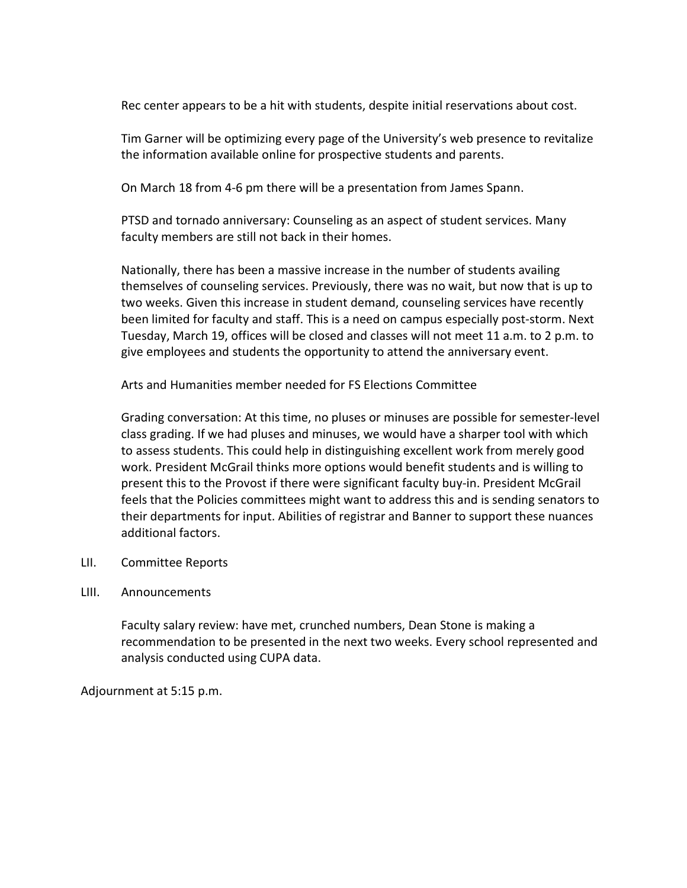Rec center appears to be a hit with students, despite initial reservations about cost.

Tim Garner will be optimizing every page of the University's web presence to revitalize the information available online for prospective students and parents.

On March 18 from 4-6 pm there will be a presentation from James Spann.

PTSD and tornado anniversary: Counseling as an aspect of student services. Many faculty members are still not back in their homes.

Nationally, there has been a massive increase in the number of students availing themselves of counseling services. Previously, there was no wait, but now that is up to two weeks. Given this increase in student demand, counseling services have recently been limited for faculty and staff. This is a need on campus especially post-storm. Next Tuesday, March 19, offices will be closed and classes will not meet 11 a.m. to 2 p.m. to give employees and students the opportunity to attend the anniversary event.

Arts and Humanities member needed for FS Elections Committee

Grading conversation: At this time, no pluses or minuses are possible for semester-level class grading. If we had pluses and minuses, we would have a sharper tool with which to assess students. This could help in distinguishing excellent work from merely good work. President McGrail thinks more options would benefit students and is willing to present this to the Provost if there were significant faculty buy-in. President McGrail feels that the Policies committees might want to address this and is sending senators to their departments for input. Abilities of registrar and Banner to support these nuances additional factors.

LII. Committee Reports

#### LIII. Announcements

Faculty salary review: have met, crunched numbers, Dean Stone is making a recommendation to be presented in the next two weeks. Every school represented and analysis conducted using CUPA data.

Adjournment at 5:15 p.m.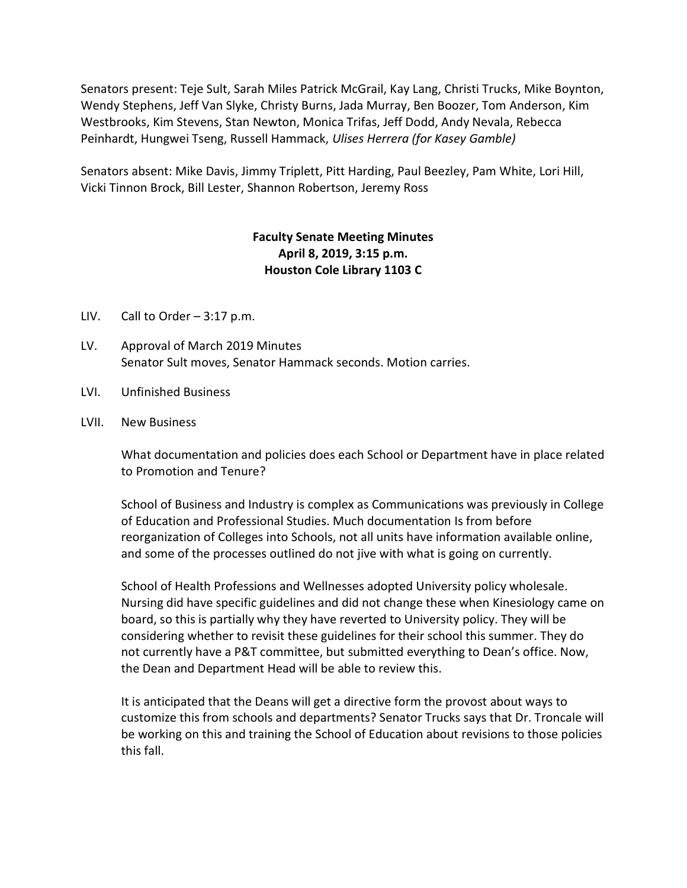Senators present: Teje Sult, Sarah Miles Patrick McGrail, Kay Lang, Christi Trucks, Mike Boynton, Wendy Stephens, Jeff Van Slyke, Christy Burns, Jada Murray, Ben Boozer, Tom Anderson, Kim Westbrooks, Kim Stevens, Stan Newton, Monica Trifas, Jeff Dodd, Andy Nevala, Rebecca Peinhardt, Hungwei Tseng, Russell Hammack, Ulises Herrera (for Kasey Gamble)

Senators absent: Mike Davis, Jimmy Triplett, Pitt Harding, Paul Beezley, Pam White, Lori Hill, Vicki Tinnon Brock, Bill Lester, Shannon Robertson, Jeremy Ross

# Faculty Senate Meeting Minutes April 8, 2019, 3:15 p.m. Houston Cole Library 1103 C

- LIV. Call to Order  $-3:17$  p.m.
- LV. Approval of March 2019 Minutes Senator Sult moves, Senator Hammack seconds. Motion carries.
- LVI. Unfinished Business
- LVII. New Business

What documentation and policies does each School or Department have in place related to Promotion and Tenure?

School of Business and Industry is complex as Communications was previously in College of Education and Professional Studies. Much documentation Is from before reorganization of Colleges into Schools, not all units have information available online, and some of the processes outlined do not jive with what is going on currently.

School of Health Professions and Wellnesses adopted University policy wholesale. Nursing did have specific guidelines and did not change these when Kinesiology came on board, so this is partially why they have reverted to University policy. They will be considering whether to revisit these guidelines for their school this summer. They do not currently have a P&T committee, but submitted everything to Dean's office. Now, the Dean and Department Head will be able to review this.

It is anticipated that the Deans will get a directive form the provost about ways to customize this from schools and departments? Senator Trucks says that Dr. Troncale will be working on this and training the School of Education about revisions to those policies this fall.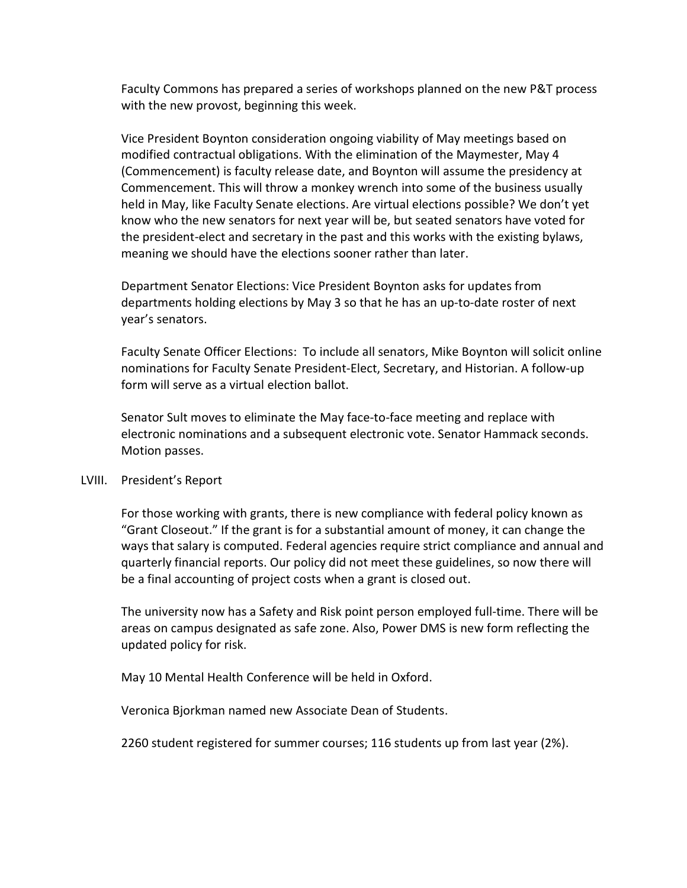Faculty Commons has prepared a series of workshops planned on the new P&T process with the new provost, beginning this week.

Vice President Boynton consideration ongoing viability of May meetings based on modified contractual obligations. With the elimination of the Maymester, May 4 (Commencement) is faculty release date, and Boynton will assume the presidency at Commencement. This will throw a monkey wrench into some of the business usually held in May, like Faculty Senate elections. Are virtual elections possible? We don't yet know who the new senators for next year will be, but seated senators have voted for the president-elect and secretary in the past and this works with the existing bylaws, meaning we should have the elections sooner rather than later.

Department Senator Elections: Vice President Boynton asks for updates from departments holding elections by May 3 so that he has an up-to-date roster of next year's senators.

Faculty Senate Officer Elections: To include all senators, Mike Boynton will solicit online nominations for Faculty Senate President-Elect, Secretary, and Historian. A follow-up form will serve as a virtual election ballot.

Senator Sult moves to eliminate the May face-to-face meeting and replace with electronic nominations and a subsequent electronic vote. Senator Hammack seconds. Motion passes.

#### LVIII. President's Report

For those working with grants, there is new compliance with federal policy known as "Grant Closeout." If the grant is for a substantial amount of money, it can change the ways that salary is computed. Federal agencies require strict compliance and annual and quarterly financial reports. Our policy did not meet these guidelines, so now there will be a final accounting of project costs when a grant is closed out.

The university now has a Safety and Risk point person employed full-time. There will be areas on campus designated as safe zone. Also, Power DMS is new form reflecting the updated policy for risk.

May 10 Mental Health Conference will be held in Oxford.

Veronica Bjorkman named new Associate Dean of Students.

2260 student registered for summer courses; 116 students up from last year (2%).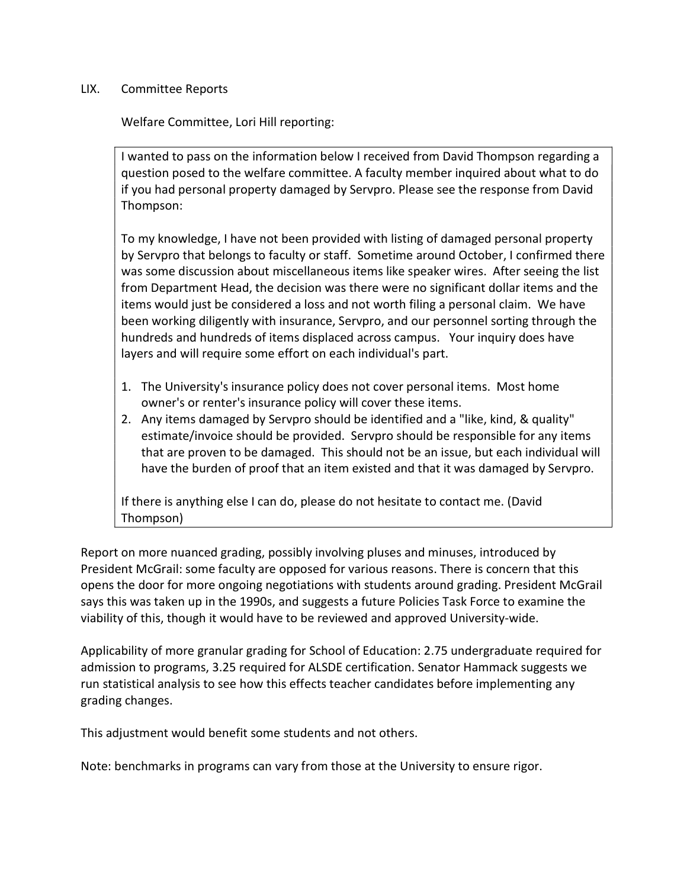### LIX. Committee Reports

Welfare Committee, Lori Hill reporting:

I wanted to pass on the information below I received from David Thompson regarding a question posed to the welfare committee. A faculty member inquired about what to do if you had personal property damaged by Servpro. Please see the response from David Thompson:

To my knowledge, I have not been provided with listing of damaged personal property by Servpro that belongs to faculty or staff. Sometime around October, I confirmed there was some discussion about miscellaneous items like speaker wires. After seeing the list from Department Head, the decision was there were no significant dollar items and the items would just be considered a loss and not worth filing a personal claim. We have been working diligently with insurance, Servpro, and our personnel sorting through the hundreds and hundreds of items displaced across campus. Your inquiry does have layers and will require some effort on each individual's part.

- 1. The University's insurance policy does not cover personal items. Most home owner's or renter's insurance policy will cover these items.
- 2. Any items damaged by Servpro should be identified and a "like, kind, & quality" estimate/invoice should be provided. Servpro should be responsible for any items that are proven to be damaged. This should not be an issue, but each individual will have the burden of proof that an item existed and that it was damaged by Servpro.

If there is anything else I can do, please do not hesitate to contact me. (David Thompson)

Report on more nuanced grading, possibly involving pluses and minuses, introduced by President McGrail: some faculty are opposed for various reasons. There is concern that this opens the door for more ongoing negotiations with students around grading. President McGrail says this was taken up in the 1990s, and suggests a future Policies Task Force to examine the viability of this, though it would have to be reviewed and approved University-wide.

Applicability of more granular grading for School of Education: 2.75 undergraduate required for admission to programs, 3.25 required for ALSDE certification. Senator Hammack suggests we run statistical analysis to see how this effects teacher candidates before implementing any grading changes.

This adjustment would benefit some students and not others.

Note: benchmarks in programs can vary from those at the University to ensure rigor.